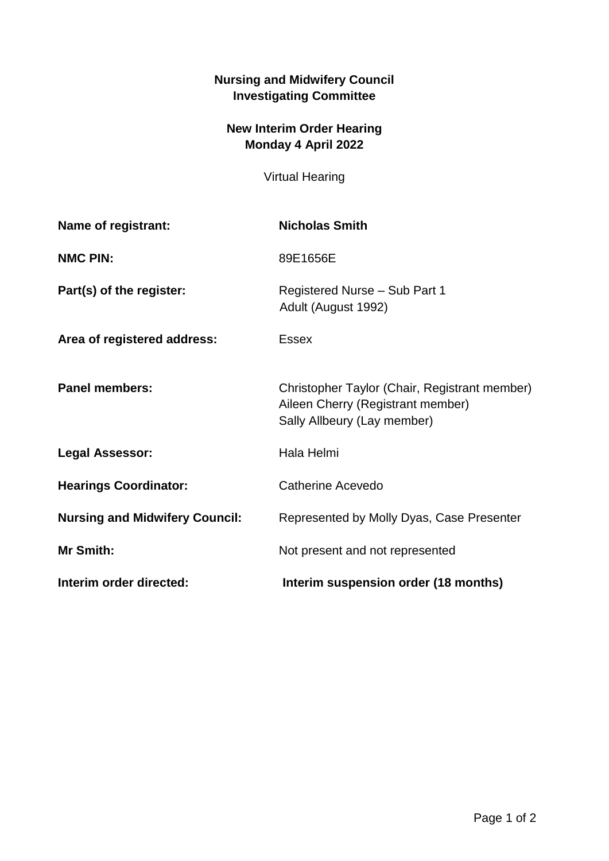## **Nursing and Midwifery Council Investigating Committee**

## **New Interim Order Hearing Monday 4 April 2022**

Virtual Hearing

| Name of registrant:                   | <b>Nicholas Smith</b>                                                                                             |
|---------------------------------------|-------------------------------------------------------------------------------------------------------------------|
| <b>NMC PIN:</b>                       | 89E1656E                                                                                                          |
| Part(s) of the register:              | Registered Nurse - Sub Part 1<br>Adult (August 1992)                                                              |
| Area of registered address:           | <b>Essex</b>                                                                                                      |
| <b>Panel members:</b>                 | Christopher Taylor (Chair, Registrant member)<br>Aileen Cherry (Registrant member)<br>Sally Allbeury (Lay member) |
| <b>Legal Assessor:</b>                | Hala Helmi                                                                                                        |
| <b>Hearings Coordinator:</b>          | Catherine Acevedo                                                                                                 |
| <b>Nursing and Midwifery Council:</b> | Represented by Molly Dyas, Case Presenter                                                                         |
| Mr Smith:                             | Not present and not represented                                                                                   |
| Interim order directed:               | Interim suspension order (18 months)                                                                              |